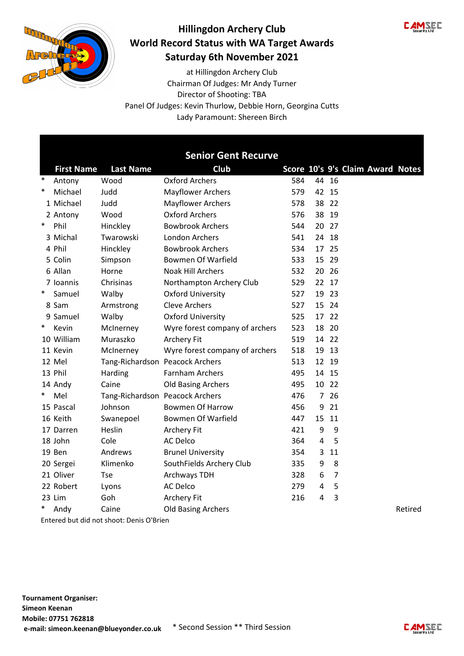



Director of Shooting: TBA Chairman Of Judges: Mr Andy Turner at Hillingdon Archery Club Panel Of Judges: Kevin Thurlow, Debbie Horn, Georgina Cutts Lady Paramount: Shereen Birch

|        |                                          |                                 | <b>Senior Gent Recurve</b>     |     |                |                |                                  |         |  |  |
|--------|------------------------------------------|---------------------------------|--------------------------------|-----|----------------|----------------|----------------------------------|---------|--|--|
|        | <b>First Name</b>                        | <b>Last Name</b>                | <b>Club</b>                    |     |                |                | Score 10's 9's Claim Award Notes |         |  |  |
| $\ast$ | Antony                                   | Wood                            | Oxford Archers                 | 584 |                | 44 16          |                                  |         |  |  |
| $\ast$ | Michael                                  | Judd                            | <b>Mayflower Archers</b>       | 579 |                | 42 15          |                                  |         |  |  |
|        | 1 Michael                                | Judd                            | <b>Mayflower Archers</b>       | 578 | 38             | 22             |                                  |         |  |  |
|        | 2 Antony                                 | Wood                            | <b>Oxford Archers</b>          | 576 | 38             | 19             |                                  |         |  |  |
| $\ast$ | Phil                                     | Hinckley                        | <b>Bowbrook Archers</b>        | 544 |                | 20 27          |                                  |         |  |  |
|        | 3 Michal                                 | Twarowski                       | London Archers                 | 541 |                | 24 18          |                                  |         |  |  |
|        | 4 Phil                                   | Hinckley                        | <b>Bowbrook Archers</b>        | 534 | 17             | 25             |                                  |         |  |  |
|        | 5 Colin                                  | Simpson                         | <b>Bowmen Of Warfield</b>      | 533 | 15             | - 29           |                                  |         |  |  |
|        | 6 Allan                                  | Horne                           | <b>Noak Hill Archers</b>       | 532 | 20             | 26             |                                  |         |  |  |
|        | 7 Ioannis                                | Chrisinas                       | Northampton Archery Club       | 529 |                | 22 17          |                                  |         |  |  |
| $\ast$ | Samuel                                   | Walby                           | <b>Oxford University</b>       | 527 | 19             | 23             |                                  |         |  |  |
|        | 8 Sam                                    | Armstrong                       | <b>Cleve Archers</b>           | 527 | 15             | 24             |                                  |         |  |  |
|        | 9 Samuel                                 | Walby                           | <b>Oxford University</b>       | 525 |                | 17 22          |                                  |         |  |  |
| $\ast$ | Kevin                                    | McInerney                       | Wyre forest company of archers | 523 | 18             | 20             |                                  |         |  |  |
|        | 10 William                               | Muraszko                        | Archery Fit                    | 519 |                | 14 22          |                                  |         |  |  |
|        | 11 Kevin                                 | McInerney                       | Wyre forest company of archers | 518 | 19             | 13             |                                  |         |  |  |
|        | 12 Mel                                   | Tang-Richardson Peacock Archers |                                | 513 |                | 12 19          |                                  |         |  |  |
|        | 13 Phil                                  | Harding                         | <b>Farnham Archers</b>         | 495 |                | 14 15          |                                  |         |  |  |
|        | 14 Andy                                  | Caine                           | <b>Old Basing Archers</b>      | 495 |                | 10 22          |                                  |         |  |  |
| $\ast$ | Mel                                      | Tang-Richardson Peacock Archers |                                | 476 | $\overline{7}$ | 26             |                                  |         |  |  |
|        | 15 Pascal                                | Johnson                         | <b>Bowmen Of Harrow</b>        | 456 | 9              | 21             |                                  |         |  |  |
|        | 16 Keith                                 | Swanepoel                       | <b>Bowmen Of Warfield</b>      | 447 | 15             | 11             |                                  |         |  |  |
|        | 17 Darren                                | Heslin                          | Archery Fit                    | 421 | 9              | 9              |                                  |         |  |  |
|        | 18 John                                  | Cole                            | <b>AC Delco</b>                | 364 | 4              | 5              |                                  |         |  |  |
|        | 19 Ben                                   | Andrews                         | <b>Brunel University</b>       | 354 | 3              | 11             |                                  |         |  |  |
|        | 20 Sergei                                | Klimenko                        | SouthFields Archery Club       | 335 | 9              | 8              |                                  |         |  |  |
|        | 21 Oliver                                | <b>Tse</b>                      | Archways TDH                   | 328 | 6              | $\overline{7}$ |                                  |         |  |  |
|        | 22 Robert                                | Lyons                           | <b>AC Delco</b>                | 279 | $\overline{4}$ | 5              |                                  |         |  |  |
|        | 23 Lim                                   | Goh                             | Archery Fit                    | 216 | $\overline{4}$ | 3              |                                  |         |  |  |
|        | Andy                                     | Caine                           | <b>Old Basing Archers</b>      |     |                |                |                                  | Retired |  |  |
|        | Entered but did not shoot: Denis O'Brien |                                 |                                |     |                |                |                                  |         |  |  |

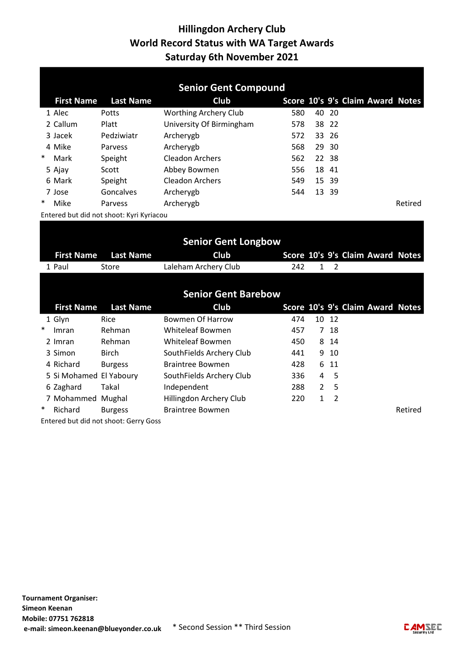| <b>Senior Gent Compound</b> |                                          |                  |                              |     |  |       |                                  |         |  |
|-----------------------------|------------------------------------------|------------------|------------------------------|-----|--|-------|----------------------------------|---------|--|
|                             | <b>First Name</b>                        | <b>Last Name</b> | <b>Club</b>                  |     |  |       | Score 10's 9's Claim Award Notes |         |  |
|                             | 1 Alec                                   | Potts            | <b>Worthing Archery Club</b> | 580 |  | 40 20 |                                  |         |  |
|                             | 2 Callum                                 | Platt            | University Of Birmingham     | 578 |  | 38 22 |                                  |         |  |
|                             | 3 Jacek                                  | Pedziwiatr       | Archerygb                    | 572 |  | 33 26 |                                  |         |  |
|                             | 4 Mike                                   | Parvess          | Archerygb                    | 568 |  | 29 30 |                                  |         |  |
| $\ast$                      | Mark                                     | Speight          | <b>Cleadon Archers</b>       | 562 |  | 22 38 |                                  |         |  |
|                             | 5 Ajay                                   | Scott            | Abbey Bowmen                 | 556 |  | 18 41 |                                  |         |  |
|                             | 6 Mark                                   | Speight          | <b>Cleadon Archers</b>       | 549 |  | 15 39 |                                  |         |  |
|                             | 7 Jose                                   | Goncalves        | Archerygb                    | 544 |  | 13 39 |                                  |         |  |
| $\ast$                      | Mike                                     | Parvess          | Archerygb                    |     |  |       |                                  | Retired |  |
|                             | Entered but did not shoot: Kyri Kyriacou |                  |                              |     |  |       |                                  |         |  |

|        |                         |                                       | <b>Senior Gent Longbow</b> |     |               |      |                                  |         |
|--------|-------------------------|---------------------------------------|----------------------------|-----|---------------|------|----------------------------------|---------|
|        | <b>First Name</b>       | <b>Last Name</b>                      | <b>Club</b>                |     |               |      | Score 10's 9's Claim Award Notes |         |
|        | 1 Paul                  | Store                                 | Laleham Archery Club       | 242 | 1             | 2    |                                  |         |
|        |                         |                                       |                            |     |               |      |                                  |         |
|        |                         |                                       | <b>Senior Gent Barebow</b> |     |               |      |                                  |         |
|        | <b>First Name</b>       | <b>Last Name</b>                      | <b>Club</b>                |     |               |      | Score 10's 9's Claim Award Notes |         |
|        | 1 Glyn                  | Rice                                  | Bowmen Of Harrow           | 474 | 10            | -12  |                                  |         |
| $\ast$ | Imran                   | Rehman                                | Whiteleaf Bowmen           | 457 |               | 7 18 |                                  |         |
|        | 2 Imran                 | Rehman                                | Whiteleaf Bowmen           | 450 |               | 8 14 |                                  |         |
|        | 3 Simon                 | <b>Birch</b>                          | SouthFields Archery Club   | 441 |               | 9 10 |                                  |         |
|        | 4 Richard               | <b>Burgess</b>                        | <b>Braintree Bowmen</b>    | 428 |               | 6 11 |                                  |         |
|        | 5 Si Mohamed El Yaboury |                                       | SouthFields Archery Club   | 336 | 4             | - 5  |                                  |         |
|        | 6 Zaghard               | Takal                                 | Independent                | 288 | $\mathcal{L}$ | 5    |                                  |         |
|        | 7 Mohammed Mughal       |                                       | Hillingdon Archery Club    | 220 | $\mathbf{1}$  | 2    |                                  |         |
| ∗      | Richard                 | <b>Burgess</b>                        | <b>Braintree Bowmen</b>    |     |               |      |                                  | Retired |
|        |                         | Entered hut did not shoot: Gerry Goss |                            |     |               |      |                                  |         |

Entered but did not shoot: Gerry Goss

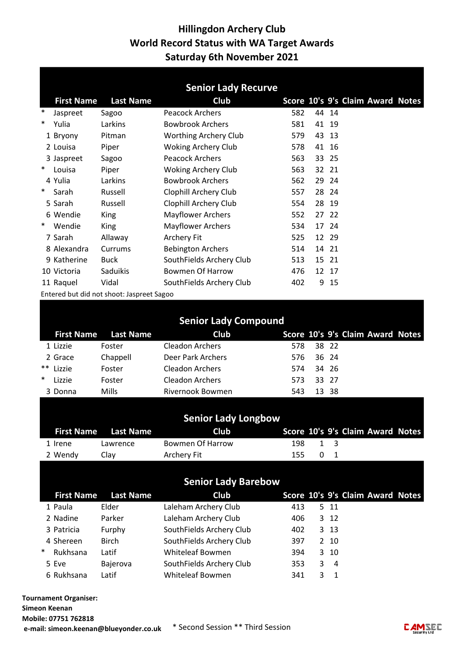|        |                   |                                           | <b>Senior Lady Recurve</b>  |     |    |       |                                  |  |
|--------|-------------------|-------------------------------------------|-----------------------------|-----|----|-------|----------------------------------|--|
|        | <b>First Name</b> | <b>Last Name</b>                          | <b>Club</b>                 |     |    |       | Score 10's 9's Claim Award Notes |  |
| $\ast$ | Jaspreet          | Sagoo                                     | <b>Peacock Archers</b>      | 582 |    | 44 14 |                                  |  |
| $\ast$ | Yulia             | Larkins                                   | <b>Bowbrook Archers</b>     | 581 | 41 | 19    |                                  |  |
|        | 1 Bryony          | Pitman                                    | Worthing Archery Club       | 579 | 43 | 13    |                                  |  |
|        | 2 Louisa          | Piper                                     | <b>Woking Archery Club</b>  | 578 |    | 41 16 |                                  |  |
|        | 3 Jaspreet        | Sagoo                                     | <b>Peacock Archers</b>      | 563 |    | 33 25 |                                  |  |
| $\ast$ | Louisa            | Piper                                     | <b>Woking Archery Club</b>  | 563 |    | 32 21 |                                  |  |
|        | 4 Yulia           | Larkins                                   | <b>Bowbrook Archers</b>     | 562 | 29 | 24    |                                  |  |
| $\ast$ | Sarah             | Russell                                   | Clophill Archery Club       | 557 |    | 28 24 |                                  |  |
|        | 5 Sarah           | Russell                                   | Clophill Archery Club       | 554 |    | 28 19 |                                  |  |
|        | 6 Wendie          | King                                      | <b>Mayflower Archers</b>    | 552 | 27 | 22    |                                  |  |
| $\ast$ | Wendie            | King                                      | <b>Mayflower Archers</b>    | 534 |    | 17 24 |                                  |  |
|        | 7 Sarah           | Allaway                                   | <b>Archery Fit</b>          | 525 |    | 12 29 |                                  |  |
|        | 8 Alexandra       | Currums                                   | <b>Bebington Archers</b>    | 514 |    | 14 21 |                                  |  |
|        | 9 Katherine       | <b>Buck</b>                               | SouthFields Archery Club    | 513 |    | 15 21 |                                  |  |
|        | 10 Victoria       | Saduikis                                  | <b>Bowmen Of Harrow</b>     | 476 |    | 12 17 |                                  |  |
|        | 11 Raquel         | Vidal                                     | SouthFields Archery Club    | 402 |    | 9 15  |                                  |  |
|        |                   | Entered but did not shoot: Jaspreet Sagoo |                             |     |    |       |                                  |  |
|        |                   |                                           |                             |     |    |       |                                  |  |
|        |                   |                                           | <b>Senior Lady Compound</b> |     |    |       |                                  |  |
|        | <b>First Name</b> | <b>Last Name</b>                          | <b>Club</b>                 |     |    |       | Score 10's 9's Claim Award Notes |  |
|        | 1 Lizzie          | Foster                                    | <b>Cleadon Archers</b>      | 578 |    | 38 22 |                                  |  |
|        | 2 Grace           | Chappell                                  | Deer Park Archers           | 576 | 36 | 24    |                                  |  |
| $***$  | Lizzie            | Foster                                    | <b>Cleadon Archers</b>      | 574 |    | 34 26 |                                  |  |
| ∗      | Lizzie            | Foster                                    | <b>Cleadon Archers</b>      | 573 |    | 33 27 |                                  |  |
|        | 3 Donna           | Mills                                     | Rivernook Bowmen            | 543 | 13 | 38    |                                  |  |

|         |                             | <b>Senior Lady Longbow</b> |      |                                          |     |                                  |  |
|---------|-----------------------------|----------------------------|------|------------------------------------------|-----|----------------------------------|--|
|         | <b>First Name</b> Last Name | <b>Club</b>                |      |                                          |     | Score 10's 9's Claim Award Notes |  |
| 1 Irene | Lawrence                    | Bowmen Of Harrow           | 198. | $\begin{array}{ccc} & 1 & 3 \end{array}$ |     |                                  |  |
| 2 Wendv | Clav                        | Archery Fit                | 155. |                                          | 0 1 |                                  |  |

|        |                   |                  | <b>Senior Lady Barebow</b> |     |   |                |                                  |  |
|--------|-------------------|------------------|----------------------------|-----|---|----------------|----------------------------------|--|
|        | <b>First Name</b> | <b>Last Name</b> | <b>Club</b>                |     |   |                | Score 10's 9's Claim Award Notes |  |
|        | 1 Paula           | Elder            | Laleham Archery Club       | 413 |   | 5 11           |                                  |  |
|        | 2 Nadine          | Parker           | Laleham Archery Club       | 406 |   | 3 12           |                                  |  |
|        | 3 Patricia        | Furphy           | SouthFields Archery Club   | 402 |   | 3 13           |                                  |  |
|        | 4 Shereen         | <b>Birch</b>     | SouthFields Archery Club   | 397 |   | 2 10           |                                  |  |
| $\ast$ | Rukhsana          | Latif            | Whiteleaf Bowmen           | 394 |   | 3 10           |                                  |  |
|        | 5 Eve             | Bajerova         | SouthFields Archery Club   | 353 | 3 | -4             |                                  |  |
|        | 6 Rukhsana        | Latif            | Whiteleaf Bowmen           | 341 |   | $\overline{1}$ |                                  |  |

Tournament Organiser: Simeon Keenan Mobile: 07751 762818 e-mail: simeon.keenan@blueyonder.co.uk \* Second Session \*\* Third Session